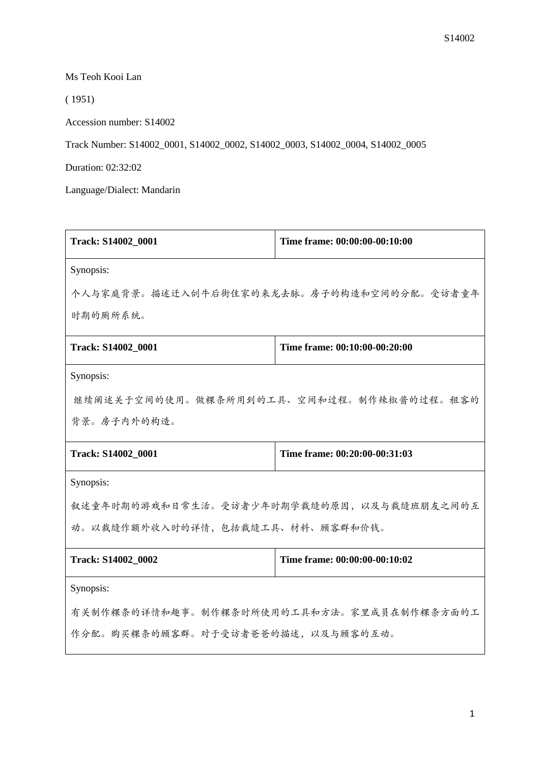Ms Teoh Kooi Lan

( 1951)

Accession number: S14002

Track Number: S14002\_0001, S14002\_0002, S14002\_0003, S14002\_0004, S14002\_0005

Duration: 02:32:02

Language/Dialect: Mandarin

| Track: S14002_0001                        | Time frame: 00:00:00-00:10:00             |  |
|-------------------------------------------|-------------------------------------------|--|
| Synopsis:                                 |                                           |  |
|                                           | 个人与家庭背景。描述迁入刣牛后街住家的来龙去脉。房子的构造和空间的分配。受访者童年 |  |
| 时期的厕所系统。                                  |                                           |  |
| Track: S14002_0001                        | Time frame: 00:10:00-00:20:00             |  |
| Synopsis:                                 |                                           |  |
| 继续阐述关于空间的使用。做粿条所用到的工具、空间和过程。制作辣椒酱的过程。租客的  |                                           |  |
| 背景。房子内外的构造。                               |                                           |  |
| Track: S14002_0001                        | Time frame: 00:20:00-00:31:03             |  |
| Synopsis:                                 |                                           |  |
| 叙述童年时期的游戏和日常生活。受访者少年时期学裁缝的原因,以及与裁缝班朋友之间的互 |                                           |  |
| 动。以裁缝作额外收入时的详情,包括裁缝工具、材料、顾客群和价钱。          |                                           |  |
| Track: S14002_0002                        | Time frame: 00:00:00-00:10:02             |  |
| Synopsis:                                 |                                           |  |
| 有关制作粿条的详情和趣事。制作粿条时所使用的工具和方法。家里成员在制作粿条方面的工 |                                           |  |
| 作分配。购买粿条的顾客群。对于受访者爸爸的描述,以及与顾客的互动。         |                                           |  |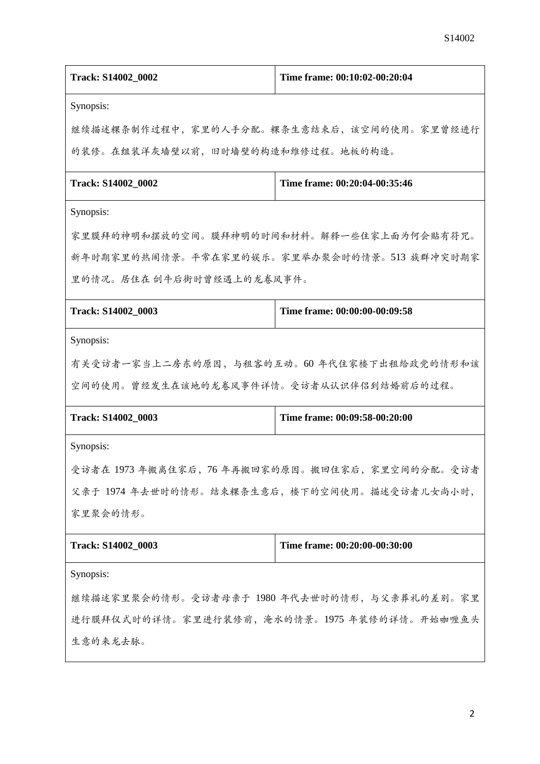| Track: S14002_0002                            | Time frame: 00:10:02-00:20:04                    |  |
|-----------------------------------------------|--------------------------------------------------|--|
| Synopsis:                                     |                                                  |  |
|                                               | 继续描述粿条制作过程中,家里的人手分配。粿条生意结束后,该空间的使用。家里曾经进行        |  |
| 的装修。在组装洋灰墙壁以前,旧时墙壁的构造和维修过程。地板的构造。             |                                                  |  |
| Track: S14002_0002                            | Time frame: 00:20:04-00:35:46                    |  |
| Synopsis:                                     |                                                  |  |
| 家里膜拜的神明和摆放的空间。膜拜神明的时间和材料。解释一些住家上面为何会贴有符咒。     |                                                  |  |
|                                               | 新年时期家里的热闹情景。平常在家里的娱乐。家里举办聚会时的情景。513 族群冲突时期家      |  |
| 里的情况。居住在 创牛后街时曾经遇上的龙卷风事件。                     |                                                  |  |
| Track: S14002_0003                            | Time frame: 00:00:00-00:09:58                    |  |
| Synopsis:                                     |                                                  |  |
|                                               | 有关受访者一家当上二房东的原因,与租客的互动。60年代住家楼下出租给政党的情形和该        |  |
| 空间的使用。曾经发生在该地的龙卷风事件详情。受访者从认识伴侣到结婚前后的过程。       |                                                  |  |
| Track: S14002_0003                            | Time frame: 00:09:58-00:20:00                    |  |
| Synopsis:                                     |                                                  |  |
|                                               | 受访者在 1973 年搬离住家后, 76 年再搬回家的原因。搬回住家后, 家里空间的分配。受访者 |  |
| 父亲于 1974 年去世时的情形。结束粿条生意后, 楼下的空间使用。描述受访者儿女尚小时, |                                                  |  |
| 家里聚会的情形。                                      |                                                  |  |
| Track: S14002 0003                            | Time frame: 00:20:00-00:30:00                    |  |
| Synopsis:                                     |                                                  |  |
| 继续描述家里聚会的情形。受访者母亲于 1980 年代去世时的情形, 与父亲葬礼的差别。家里 |                                                  |  |
| 进行膜拜仪式时的详情。家里进行装修前,淹水的情景。1975 年装修的详情。开始咖喱鱼头   |                                                  |  |
| 生意的来龙去脉。                                      |                                                  |  |

2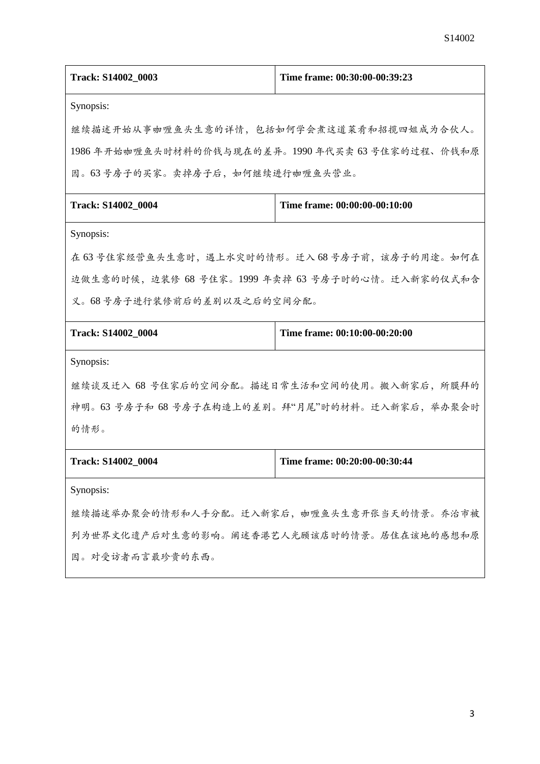| Track: S14002_0003                                | Time frame: 00:30:00-00:39:23                    |  |  |
|---------------------------------------------------|--------------------------------------------------|--|--|
| Synopsis:                                         |                                                  |  |  |
| 继续描述开始从事咖喱鱼头生意的详情,包括如何学会煮这道菜肴和招揽四姐成为合伙人。          |                                                  |  |  |
| 1986年开始咖喱鱼头时材料的价钱与现在的差异。1990年代买卖 63号住家的过程、价钱和原    |                                                  |  |  |
| 因。63号房子的买家。卖掉房子后,如何继续进行咖喱鱼头营业。                    |                                                  |  |  |
| Track: S14002_0004                                | Time frame: 00:00:00-00:10:00                    |  |  |
| Synopsis:                                         |                                                  |  |  |
|                                                   | 在 63 号住家经营鱼头生意时, 遇上水灾时的情形。迁入 68 号房子前, 该房子的用途。如何在 |  |  |
| 边做生意的时候, 边装修 68 号住家。1999 年卖掉 63 号房子时的心情。迁入新家的仪式和含 |                                                  |  |  |
| 义。68号房子进行装修前后的差别以及之后的空间分配。                        |                                                  |  |  |
| Track: S14002_0004                                | Time frame: 00:10:00-00:20:00                    |  |  |
| Synopsis:                                         |                                                  |  |  |
| 继续谈及迁入 68 号住家后的空间分配。描述日常生活和空间的使用。搬入新家后,所膜拜的       |                                                  |  |  |
| 神明。63 号房子和 68 号房子在构造上的差别。拜"月尾"时的材料。迁入新家后,举办聚会时    |                                                  |  |  |
| 的情形。                                              |                                                  |  |  |
| <b>Track: S14002 0004</b>                         | Time frame: 00:20:00-00:30:44                    |  |  |
| Synopsis:                                         |                                                  |  |  |
| 继续描述举办聚会的情形和人手分配。迁入新家后,咖喱鱼头生意开张当天的情景。乔治市被         |                                                  |  |  |
| 列为世界文化遗产后对生意的影响。阐述香港艺人光顾该店时的情景。居住在该地的感想和原         |                                                  |  |  |
| 因。对受访者而言最珍贵的东西。                                   |                                                  |  |  |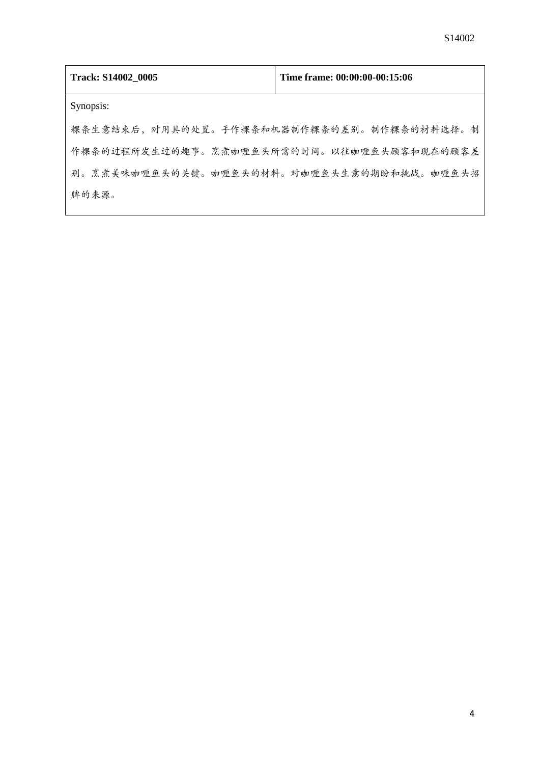| Track: S14002 0005                        | Time frame: 00:00:00-00:15:06 |  |
|-------------------------------------------|-------------------------------|--|
| Synopsis:                                 |                               |  |
| 粿条生意结束后,对用具的处置。手作粿条和机器制作粿条的差别。制作粿条的材料选择。制 |                               |  |
| 作粿条的过程所发生过的趣事。烹煮咖喱鱼头所需的时间。以往咖喱鱼头顾客和现在的顾客差 |                               |  |
| 别。烹煮美味咖喱鱼头的关键。咖喱鱼头的材料。对咖喱鱼头生意的期盼和挑战。咖喱鱼头招 |                               |  |
| 牌的来源。                                     |                               |  |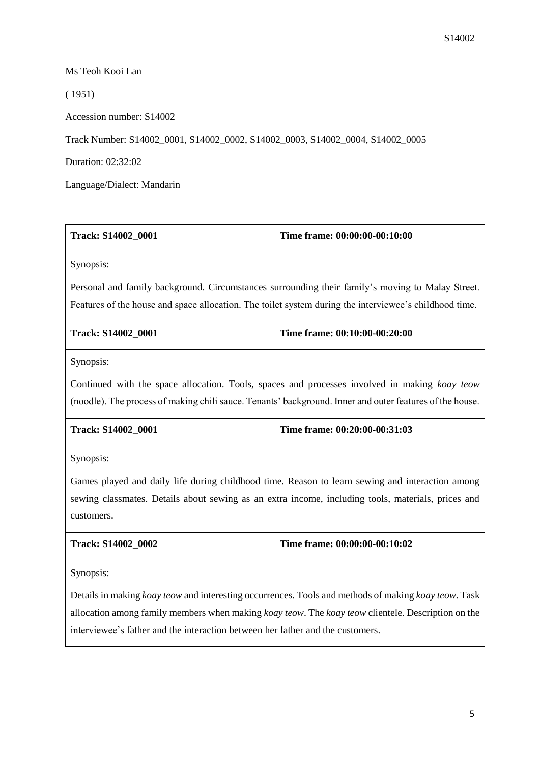## Ms Teoh Kooi Lan

( 1951)

Accession number: S14002

Track Number: S14002\_0001, S14002\_0002, S14002\_0003, S14002\_0004, S14002\_0005

Duration: 02:32:02

Language/Dialect: Mandarin

| Track: S14002_0001                                                                                       | Time frame: 00:00:00-00:10:00 |  |
|----------------------------------------------------------------------------------------------------------|-------------------------------|--|
| Synopsis:                                                                                                |                               |  |
| Personal and family background. Circumstances surrounding their family's moving to Malay Street.         |                               |  |
| Features of the house and space allocation. The toilet system during the interviewee's childhood time.   |                               |  |
| Track: S14002_0001                                                                                       | Time frame: 00:10:00-00:20:00 |  |
| Synopsis:                                                                                                |                               |  |
| Continued with the space allocation. Tools, spaces and processes involved in making koay teow            |                               |  |
| (noodle). The process of making chili sauce. Tenants' background. Inner and outer features of the house. |                               |  |
| Track: S14002_0001                                                                                       | Time frame: 00:20:00-00:31:03 |  |
| Synopsis:                                                                                                |                               |  |
| Games played and daily life during childhood time. Reason to learn sewing and interaction among          |                               |  |
| sewing classmates. Details about sewing as an extra income, including tools, materials, prices and       |                               |  |
| customers.                                                                                               |                               |  |
| Track: S14002_0002                                                                                       | Time frame: 00:00:00-00:10:02 |  |
| Synopsis:                                                                                                |                               |  |
| Details in making koay teow and interesting occurrences. Tools and methods of making koay teow. Task     |                               |  |
| allocation among family members when making koay teow. The koay teow clientele. Description on the       |                               |  |

interviewee's father and the interaction between her father and the customers.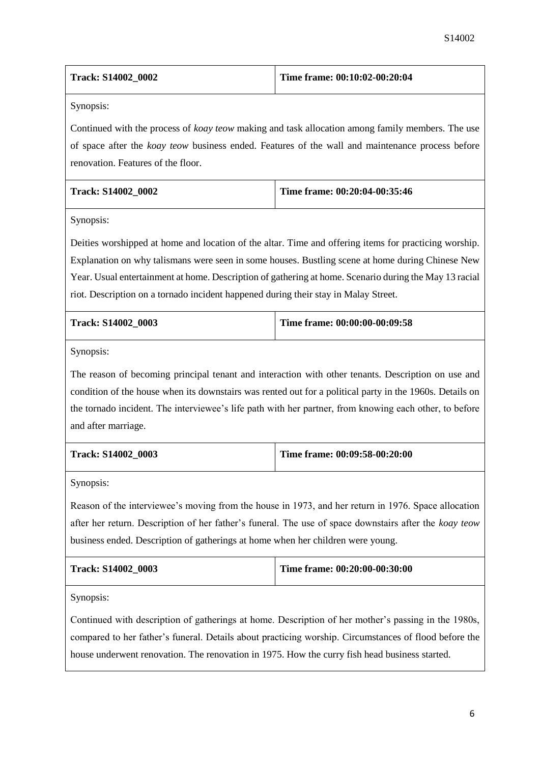| Track: S14002 0002                                                                                                                                                                                                                                       | Time frame: 00:10:02-00:20:04 |  |
|----------------------------------------------------------------------------------------------------------------------------------------------------------------------------------------------------------------------------------------------------------|-------------------------------|--|
| Synopsis:                                                                                                                                                                                                                                                |                               |  |
| Continued with the process of <i>koay teow</i> making and task allocation among family members. The use<br>of space after the <i>koay teow</i> business ended. Features of the wall and maintenance process before<br>renovation. Features of the floor. |                               |  |
| Track: S14002_0002                                                                                                                                                                                                                                       | Time frame: 00:20:04-00:35:46 |  |

Synopsis:

Deities worshipped at home and location of the altar. Time and offering items for practicing worship. Explanation on why talismans were seen in some houses. Bustling scene at home during Chinese New Year. Usual entertainment at home. Description of gathering at home. Scenario during the May 13 racial riot. Description on a tornado incident happened during their stay in Malay Street.

| <b>Track: S14002 0003</b> | Time frame: 00:00:00-00:09:58 |
|---------------------------|-------------------------------|
|                           |                               |

Synopsis:

The reason of becoming principal tenant and interaction with other tenants. Description on use and condition of the house when its downstairs was rented out for a political party in the 1960s. Details on the tornado incident. The interviewee's life path with her partner, from knowing each other, to before and after marriage.

| <b>Track: S14002 0003</b> | Time frame: 00:09:58-00:20:00 |
|---------------------------|-------------------------------|
|                           |                               |

Synopsis:

Reason of the interviewee's moving from the house in 1973, and her return in 1976. Space allocation after her return. Description of her father's funeral. The use of space downstairs after the *koay teow* business ended. Description of gatherings at home when her children were young.

| <b>Track: S14002 0003</b> | Time frame: 00:20:00-00:30:00 |
|---------------------------|-------------------------------|
|---------------------------|-------------------------------|

Synopsis:

Continued with description of gatherings at home. Description of her mother's passing in the 1980s, compared to her father's funeral. Details about practicing worship. Circumstances of flood before the house underwent renovation. The renovation in 1975. How the curry fish head business started.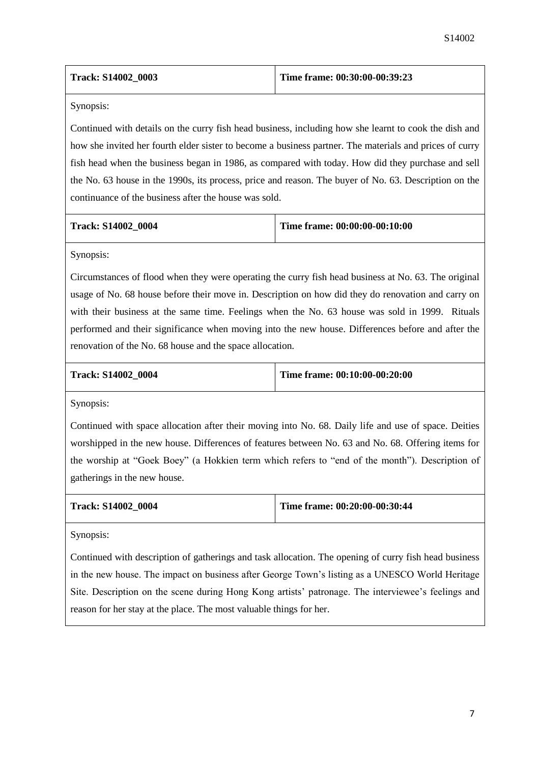| <b>Track: S14002 0003</b> | Time frame: $00:30:00-00:39:23$ |
|---------------------------|---------------------------------|
|---------------------------|---------------------------------|

Synopsis:

Continued with details on the curry fish head business, including how she learnt to cook the dish and how she invited her fourth elder sister to become a business partner. The materials and prices of curry fish head when the business began in 1986, as compared with today. How did they purchase and sell the No. 63 house in the 1990s, its process, price and reason. The buyer of No. 63. Description on the continuance of the business after the house was sold.

| <b>Track: S14002 0004</b> |  |
|---------------------------|--|
|---------------------------|--|

**Time frame: 00:00:00-00:10:00** 

Synopsis:

Circumstances of flood when they were operating the curry fish head business at No. 63. The original usage of No. 68 house before their move in. Description on how did they do renovation and carry on with their business at the same time. Feelings when the No. 63 house was sold in 1999. Rituals performed and their significance when moving into the new house. Differences before and after the renovation of the No. 68 house and the space allocation.

**Track: S14002\_0004 Time frame: 00:10:00-00:20:00**

Synopsis:

Continued with space allocation after their moving into No. 68. Daily life and use of space. Deities worshipped in the new house. Differences of features between No. 63 and No. 68. Offering items for the worship at "Goek Boey" (a Hokkien term which refers to "end of the month"). Description of gatherings in the new house.

| <b>Track: S14002 0004</b> | Time frame: 00:20:00-00:30:44 |
|---------------------------|-------------------------------|
|                           |                               |

Synopsis:

Continued with description of gatherings and task allocation. The opening of curry fish head business in the new house. The impact on business after George Town's listing as a UNESCO World Heritage Site. Description on the scene during Hong Kong artists' patronage. The interviewee's feelings and reason for her stay at the place. The most valuable things for her.